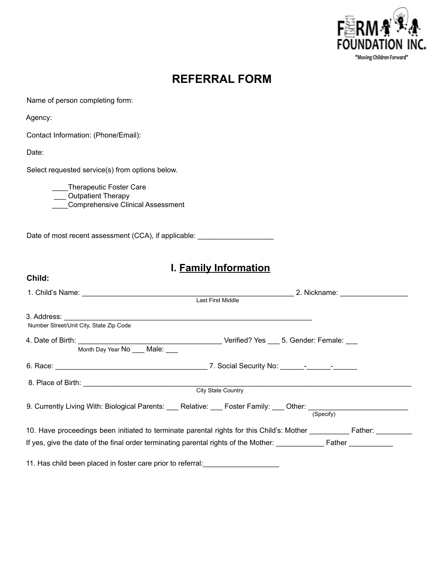

# **REFERRAL FORM**

Name of person completing form:

Agency:

Contact Information: (Phone/Email):

Date:

**Child:**

Select requested service(s) from options below.

\_\_\_\_Therapeutic Foster Care \_\_\_ Outpatient Therapy \_\_\_\_Comprehensive Clinical Assessment

Date of most recent assessment (CCA), if applicable: \_\_\_\_\_\_\_\_\_\_\_\_\_\_\_\_\_\_\_\_\_\_\_\_\_\_\_

## **I. Family Information**

|                                                                                                                | Last First Middle                                                                                            |  |
|----------------------------------------------------------------------------------------------------------------|--------------------------------------------------------------------------------------------------------------|--|
| Number Street/Unit City, State Zip Code                                                                        |                                                                                                              |  |
| Month Day Year No Male:                                                                                        |                                                                                                              |  |
|                                                                                                                |                                                                                                              |  |
| <b>City State Country</b>                                                                                      |                                                                                                              |  |
| 9. Currently Living With: Biological Parents: ___ Relative: ___ Foster Family: ___ Other: ____________________ | (Specify)                                                                                                    |  |
|                                                                                                                | 10. Have proceedings been initiated to terminate parental rights for this Child's: Mother __________ Father: |  |
| 11. Has child been placed in foster care prior to referral:                                                    |                                                                                                              |  |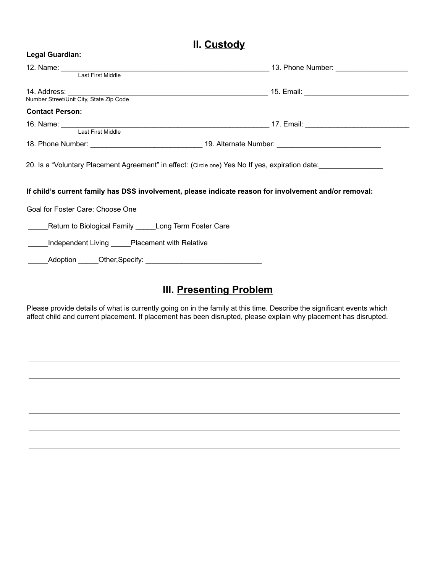#### **II. Custody**

**Legal Guardian:**

|                                                             | 12. Name: Last First Middle <b>Connective Connective Connective Connective Connective Connective Connective Connection</b><br>Last First Middle                                                           |
|-------------------------------------------------------------|-----------------------------------------------------------------------------------------------------------------------------------------------------------------------------------------------------------|
|                                                             |                                                                                                                                                                                                           |
|                                                             |                                                                                                                                                                                                           |
| <b>Contact Person:</b>                                      |                                                                                                                                                                                                           |
|                                                             |                                                                                                                                                                                                           |
|                                                             |                                                                                                                                                                                                           |
|                                                             |                                                                                                                                                                                                           |
|                                                             | 20. Is a "Voluntary Placement Agreement" in effect: (Circle one) Yes No If yes, expiration date:<br>If child's current family has DSS involvement, please indicate reason for involvement and/or removal: |
| Goal for Foster Care: Choose One                            |                                                                                                                                                                                                           |
| _____Return to Biological Family _____Long Term Foster Care |                                                                                                                                                                                                           |
| _____Independent Living _____Placement with Relative        |                                                                                                                                                                                                           |
|                                                             |                                                                                                                                                                                                           |

# **III. Presenting Problem**

Please provide details of what is currently going on in the family at this time. Describe the significant events which affect child and current placement. If placement has been disrupted, please explain why placement has disrupted.